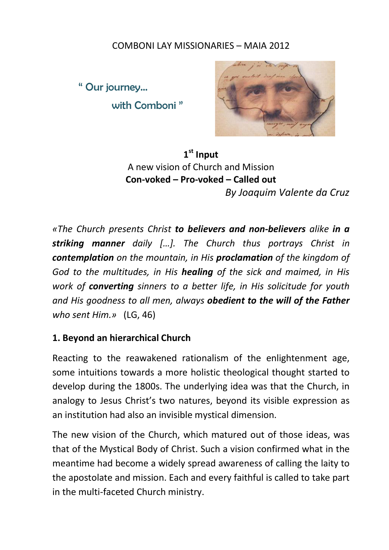## COMBONI LAY MISSIONARIES – MAIA 2012

" Our journey… with Comboni "



**1st Input** A new vision of Church and Mission **Con-voked – Pro-voked – Called out** *By Joaquim Valente da Cruz*

*«The Church presents Christ to believers and non-believers alike in a striking manner daily […]. The Church thus portrays Christ in contemplation on the mountain, in His proclamation of the kingdom of God to the multitudes, in His healing of the sick and maimed, in His work of converting sinners to a better life, in His solicitude for youth and His goodness to all men, always obedient to the will of the Father who sent Him.»* (LG, 46)

## **1. Beyond an hierarchical Church**

Reacting to the reawakened rationalism of the enlightenment age, some intuitions towards a more holistic theological thought started to develop during the 1800s. The underlying idea was that the Church, in analogy to Jesus Christ's two natures, beyond its visible expression as an institution had also an invisible mystical dimension.

The new vision of the Church, which matured out of those ideas, was that of the Mystical Body of Christ. Such a vision confirmed what in the meantime had become a widely spread awareness of calling the laity to the apostolate and mission. Each and every faithful is called to take part in the multi-faceted Church ministry.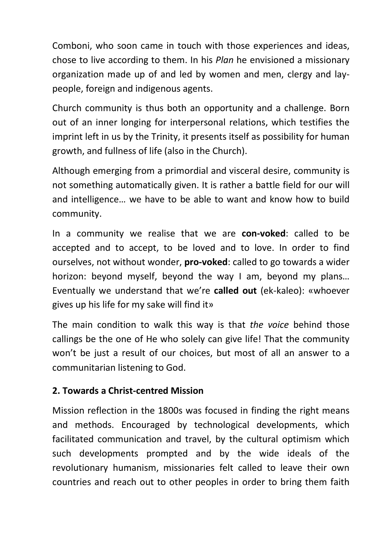Comboni, who soon came in touch with those experiences and ideas, chose to live according to them. In his *Plan* he envisioned a missionary organization made up of and led by women and men, clergy and laypeople, foreign and indigenous agents.

Church community is thus both an opportunity and a challenge. Born out of an inner longing for interpersonal relations, which testifies the imprint left in us by the Trinity, it presents itself as possibility for human growth, and fullness of life (also in the Church).

Although emerging from a primordial and visceral desire, community is not something automatically given. It is rather a battle field for our will and intelligence… we have to be able to want and know how to build community.

In a community we realise that we are **con-voked**: called to be accepted and to accept, to be loved and to love. In order to find ourselves, not without wonder, **pro-voked**: called to go towards a wider horizon: beyond myself, beyond the way I am, beyond my plans… Eventually we understand that we're **called out** (ek-kaleo): «whoever gives up his life for my sake will find it»

The main condition to walk this way is that *the voice* behind those callings be the one of He who solely can give life! That the community won't be just a result of our choices, but most of all an answer to a communitarian listening to God.

# **2. Towards a Christ-centred Mission**

Mission reflection in the 1800s was focused in finding the right means and methods. Encouraged by technological developments, which facilitated communication and travel, by the cultural optimism which such developments prompted and by the wide ideals of the revolutionary humanism, missionaries felt called to leave their own countries and reach out to other peoples in order to bring them faith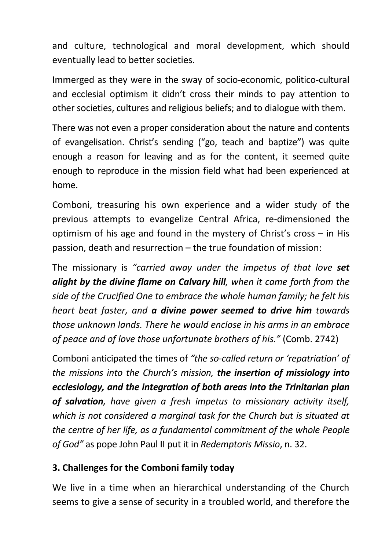and culture, technological and moral development, which should eventually lead to better societies.

Immerged as they were in the sway of socio-economic, politico-cultural and ecclesial optimism it didn't cross their minds to pay attention to other societies, cultures and religious beliefs; and to dialogue with them.

There was not even a proper consideration about the nature and contents of evangelisation. Christ's sending ("go, teach and baptize") was quite enough a reason for leaving and as for the content, it seemed quite enough to reproduce in the mission field what had been experienced at home.

Comboni, treasuring his own experience and a wider study of the previous attempts to evangelize Central Africa, re-dimensioned the optimism of his age and found in the mystery of Christ's cross – in His passion, death and resurrection – the true foundation of mission:

The missionary is *"carried away under the impetus of that love set alight by the divine flame on Calvary hill, when it came forth from the side of the Crucified One to embrace the whole human family; he felt his heart beat faster, and a divine power seemed to drive him towards those unknown lands. There he would enclose in his arms in an embrace of peace and of love those unfortunate brothers of his."* (Comb. 2742)

Comboni anticipated the times of *"the so-called return or 'repatriation' of the missions into the Church's mission, the insertion of missiology into ecclesiology, and the integration of both areas into the Trinitarian plan of salvation, have given a fresh impetus to missionary activity itself, which is not considered a marginal task for the Church but is situated at the centre of her life, as a fundamental commitment of the whole People of God"* as pope John Paul II put it in *Redemptoris Missio*, n. 32.

# **3. Challenges for the Comboni family today**

We live in a time when an hierarchical understanding of the Church seems to give a sense of security in a troubled world, and therefore the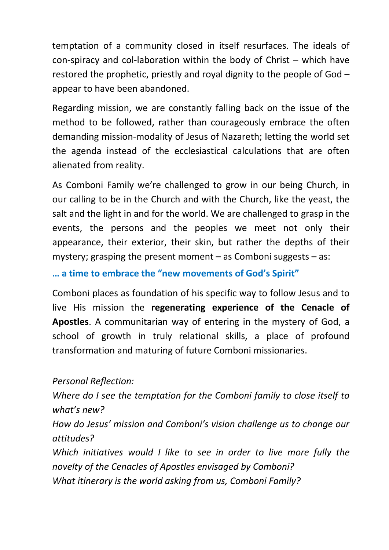temptation of a community closed in itself resurfaces. The ideals of con-spiracy and col-laboration within the body of Christ – which have restored the prophetic, priestly and royal dignity to the people of God – appear to have been abandoned.

Regarding mission, we are constantly falling back on the issue of the method to be followed, rather than courageously embrace the often demanding mission-modality of Jesus of Nazareth; letting the world set the agenda instead of the ecclesiastical calculations that are often alienated from reality.

As Comboni Family we're challenged to grow in our being Church, in our calling to be in the Church and with the Church, like the yeast, the salt and the light in and for the world. We are challenged to grasp in the events, the persons and the peoples we meet not only their appearance, their exterior, their skin, but rather the depths of their mystery; grasping the present moment – as Comboni suggests – as:

**… a time to embrace the "new movements of God's Spirit"**

Comboni places as foundation of his specific way to follow Jesus and to live His mission the **regenerating experience of the Cenacle of Apostles**. A communitarian way of entering in the mystery of God, a school of growth in truly relational skills, a place of profound transformation and maturing of future Comboni missionaries.

# *Personal Reflection:*

*Where do I see the temptation for the Comboni family to close itself to what's new? How do Jesus' mission and Comboni's vision challenge us to change our attitudes?*

*Which initiatives would I like to see in order to live more fully the novelty of the Cenacles of Apostles envisaged by Comboni? What itinerary is the world asking from us, Comboni Family?*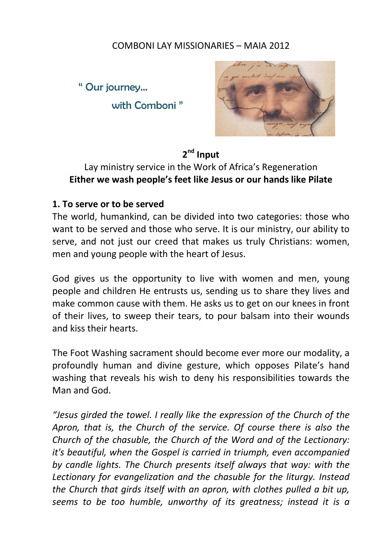#### COMBONI LAY MISSIONARIES – MAIA 2012

" Our journey… with Comboni "



# **2nd Input**

# Lay ministry service in the Work of Africa's Regeneration **Either we wash people's feet like Jesus or our hands like Pilate**

#### **1. To serve or to be served**

The world, humankind, can be divided into two categories: those who want to be served and those who serve. It is our ministry, our ability to serve, and not just our creed that makes us truly Christians: women, men and young people with the heart of Jesus.

God gives us the opportunity to live with women and men, young people and children He entrusts us, sending us to share they lives and make common cause with them. He asks us to get on our knees in front of their lives, to sweep their tears, to pour balsam into their wounds and kiss their hearts.

The Foot Washing sacrament should become ever more our modality, a profoundly human and divine gesture, which opposes Pilate's hand washing that reveals his wish to deny his responsibilities towards the Man and God.

*"Jesus girded the towel. I really like the expression of the Church of the Apron, that is, the Church of the service. Of course there is also the Church of the chasuble, the Church of the Word and of the Lectionary: it's beautiful, when the Gospel is carried in triumph, even accompanied by candle lights. The Church presents itself always that way: with the Lectionary for evangelization and the chasuble for the liturgy. Instead the Church that girds itself with an apron, with clothes pulled a bit up, seems to be too humble, unworthy of its greatness; instead it is a*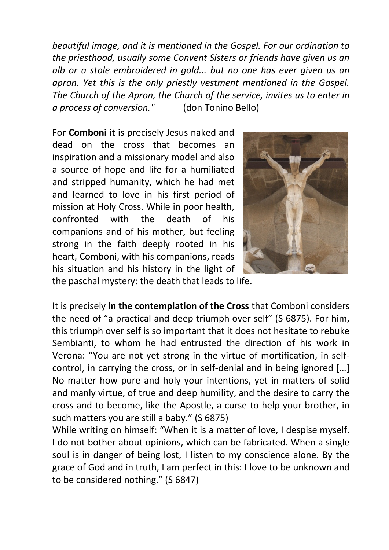*beautiful image, and it is mentioned in the Gospel. For our ordination to the priesthood, usually some Convent Sisters or friends have given us an alb or a stole embroidered in gold... but no one has ever given us an apron. Yet this is the only priestly vestment mentioned in the Gospel. The Church of the Apron, the Church of the service, invites us to enter in a process of conversion."* (don Tonino Bello)

For **Comboni** it is precisely Jesus naked and dead on the cross that becomes an inspiration and a missionary model and also a source of hope and life for a humiliated and stripped humanity, which he had met and learned to love in his first period of mission at Holy Cross. While in poor health, confronted with the death of his companions and of his mother, but feeling strong in the faith deeply rooted in his heart, Comboni, with his companions, reads his situation and his history in the light of the paschal mystery: the death that leads to life.



It is precisely **in the contemplation of the Cross** that Comboni considers the need of "a practical and deep triumph over self" (S 6875). For him, this triumph over self is so important that it does not hesitate to rebuke Sembianti, to whom he had entrusted the direction of his work in Verona: "You are not yet strong in the virtue of mortification, in selfcontrol, in carrying the cross, or in self-denial and in being ignored […] No matter how pure and holy your intentions, yet in matters of solid and manly virtue, of true and deep humility, and the desire to carry the cross and to become, like the Apostle, a curse to help your brother, in such matters you are still a baby." (S 6875)

While writing on himself: "When it is a matter of love, I despise myself. I do not bother about opinions, which can be fabricated. When a single soul is in danger of being lost, I listen to my conscience alone. By the grace of God and in truth, I am perfect in this: I love to be unknown and to be considered nothing." (S 6847)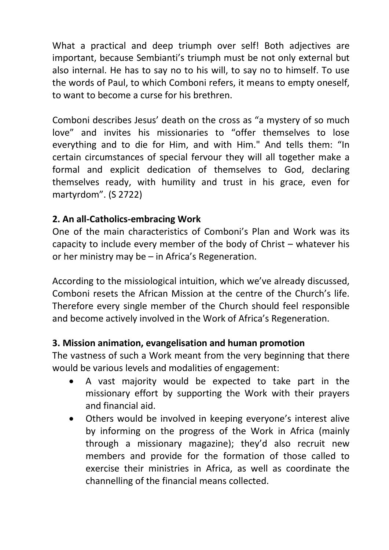What a practical and deep triumph over self! Both adjectives are important, because Sembianti's triumph must be not only external but also internal. He has to say no to his will, to say no to himself. To use the words of Paul, to which Comboni refers, it means to empty oneself, to want to become a curse for his brethren.

Comboni describes Jesus' death on the cross as "a mystery of so much love" and invites his missionaries to "offer themselves to lose everything and to die for Him, and with Him." And tells them: "In certain circumstances of special fervour they will all together make a formal and explicit dedication of themselves to God, declaring themselves ready, with humility and trust in his grace, even for martyrdom". (S 2722)

# **2. An all-Catholics-embracing Work**

One of the main characteristics of Comboni's Plan and Work was its capacity to include every member of the body of Christ – whatever his or her ministry may be – in Africa's Regeneration.

According to the missiological intuition, which we've already discussed, Comboni resets the African Mission at the centre of the Church's life. Therefore every single member of the Church should feel responsible and become actively involved in the Work of Africa's Regeneration.

## **3. Mission animation, evangelisation and human promotion**

The vastness of such a Work meant from the very beginning that there would be various levels and modalities of engagement:

- A vast majority would be expected to take part in the missionary effort by supporting the Work with their prayers and financial aid.
- Others would be involved in keeping everyone's interest alive by informing on the progress of the Work in Africa (mainly through a missionary magazine); they'd also recruit new members and provide for the formation of those called to exercise their ministries in Africa, as well as coordinate the channelling of the financial means collected.